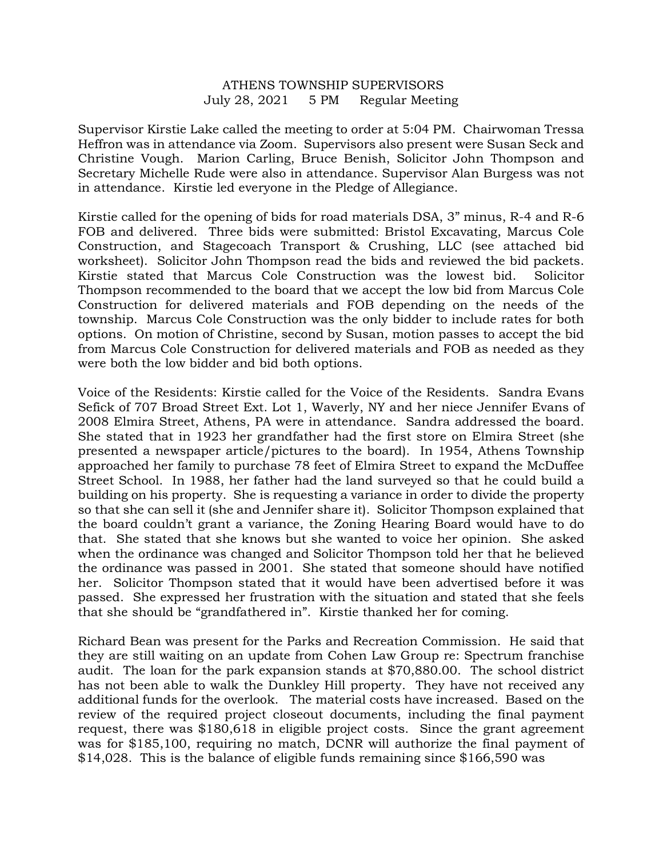## ATHENS TOWNSHIP SUPERVISORS July 28, 2021 5 PM Regular Meeting

Supervisor Kirstie Lake called the meeting to order at 5:04 PM. Chairwoman Tressa Heffron was in attendance via Zoom. Supervisors also present were Susan Seck and Christine Vough. Marion Carling, Bruce Benish, Solicitor John Thompson and Secretary Michelle Rude were also in attendance. Supervisor Alan Burgess was not in attendance. Kirstie led everyone in the Pledge of Allegiance.

Kirstie called for the opening of bids for road materials DSA, 3" minus, R-4 and R-6 FOB and delivered. Three bids were submitted: Bristol Excavating, Marcus Cole Construction, and Stagecoach Transport & Crushing, LLC (see attached bid worksheet). Solicitor John Thompson read the bids and reviewed the bid packets. Kirstie stated that Marcus Cole Construction was the lowest bid. Solicitor Thompson recommended to the board that we accept the low bid from Marcus Cole Construction for delivered materials and FOB depending on the needs of the township. Marcus Cole Construction was the only bidder to include rates for both options. On motion of Christine, second by Susan, motion passes to accept the bid from Marcus Cole Construction for delivered materials and FOB as needed as they were both the low bidder and bid both options.

Voice of the Residents: Kirstie called for the Voice of the Residents. Sandra Evans Sefick of 707 Broad Street Ext. Lot 1, Waverly, NY and her niece Jennifer Evans of 2008 Elmira Street, Athens, PA were in attendance. Sandra addressed the board. She stated that in 1923 her grandfather had the first store on Elmira Street (she presented a newspaper article/pictures to the board). In 1954, Athens Township approached her family to purchase 78 feet of Elmira Street to expand the McDuffee Street School. In 1988, her father had the land surveyed so that he could build a building on his property. She is requesting a variance in order to divide the property so that she can sell it (she and Jennifer share it). Solicitor Thompson explained that the board couldn't grant a variance, the Zoning Hearing Board would have to do that. She stated that she knows but she wanted to voice her opinion. She asked when the ordinance was changed and Solicitor Thompson told her that he believed the ordinance was passed in 2001. She stated that someone should have notified her. Solicitor Thompson stated that it would have been advertised before it was passed. She expressed her frustration with the situation and stated that she feels that she should be "grandfathered in". Kirstie thanked her for coming.

Richard Bean was present for the Parks and Recreation Commission. He said that they are still waiting on an update from Cohen Law Group re: Spectrum franchise audit. The loan for the park expansion stands at \$70,880.00. The school district has not been able to walk the Dunkley Hill property. They have not received any additional funds for the overlook. The material costs have increased. Based on the review of the required project closeout documents, including the final payment request, there was \$180,618 in eligible project costs. Since the grant agreement was for \$185,100, requiring no match, DCNR will authorize the final payment of \$14,028. This is the balance of eligible funds remaining since \$166,590 was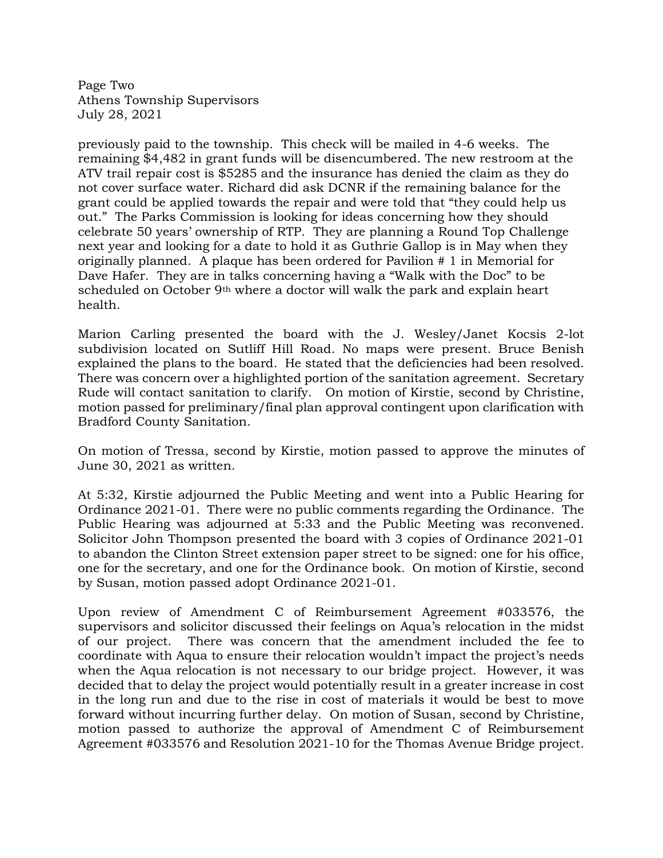Page Two Athens Township Supervisors July 28, 2021

previously paid to the township. This check will be mailed in 4-6 weeks. The remaining \$4,482 in grant funds will be disencumbered. The new restroom at the ATV trail repair cost is \$5285 and the insurance has denied the claim as they do not cover surface water. Richard did ask DCNR if the remaining balance for the grant could be applied towards the repair and were told that "they could help us out." The Parks Commission is looking for ideas concerning how they should celebrate 50 years' ownership of RTP. They are planning a Round Top Challenge next year and looking for a date to hold it as Guthrie Gallop is in May when they originally planned. A plaque has been ordered for Pavilion # 1 in Memorial for Dave Hafer. They are in talks concerning having a "Walk with the Doc" to be scheduled on October 9th where a doctor will walk the park and explain heart health.

Marion Carling presented the board with the J. Wesley/Janet Kocsis 2-lot subdivision located on Sutliff Hill Road. No maps were present. Bruce Benish explained the plans to the board. He stated that the deficiencies had been resolved. There was concern over a highlighted portion of the sanitation agreement. Secretary Rude will contact sanitation to clarify. On motion of Kirstie, second by Christine, motion passed for preliminary/final plan approval contingent upon clarification with Bradford County Sanitation.

On motion of Tressa, second by Kirstie, motion passed to approve the minutes of June 30, 2021 as written.

At 5:32, Kirstie adjourned the Public Meeting and went into a Public Hearing for Ordinance 2021-01. There were no public comments regarding the Ordinance. The Public Hearing was adjourned at 5:33 and the Public Meeting was reconvened. Solicitor John Thompson presented the board with 3 copies of Ordinance 2021-01 to abandon the Clinton Street extension paper street to be signed: one for his office, one for the secretary, and one for the Ordinance book. On motion of Kirstie, second by Susan, motion passed adopt Ordinance 2021-01.

Upon review of Amendment C of Reimbursement Agreement #033576, the supervisors and solicitor discussed their feelings on Aqua's relocation in the midst of our project. There was concern that the amendment included the fee to coordinate with Aqua to ensure their relocation wouldn't impact the project's needs when the Aqua relocation is not necessary to our bridge project. However, it was decided that to delay the project would potentially result in a greater increase in cost in the long run and due to the rise in cost of materials it would be best to move forward without incurring further delay. On motion of Susan, second by Christine, motion passed to authorize the approval of Amendment C of Reimbursement Agreement #033576 and Resolution 2021-10 for the Thomas Avenue Bridge project.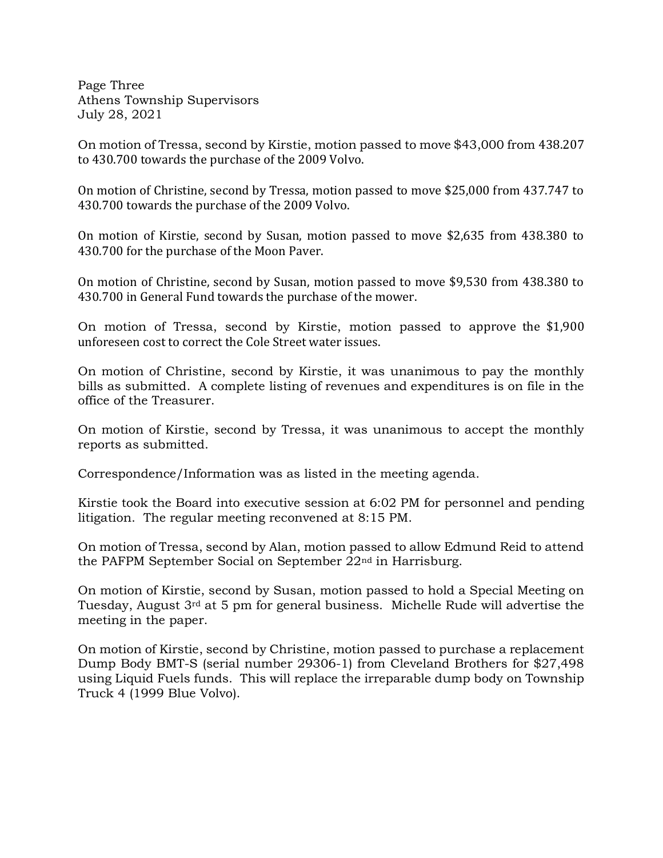Page Three Athens Township Supervisors July 28, 2021

On motion of Tressa, second by Kirstie, motion passed to move \$43,000 from 438.207 to 430.700 towards the purchase of the 2009 Volvo.

On motion of Christine, second by Tressa, motion passed to move \$25,000 from 437.747 to 430.700 towards the purchase of the 2009 Volvo.

On motion of Kirstie, second by Susan, motion passed to move \$2,635 from 438.380 to 430.700 for the purchase of the Moon Paver.

On motion of Christine, second by Susan, motion passed to move \$9,530 from 438.380 to 430.700 in General Fund towards the purchase of the mower.

On motion of Tressa, second by Kirstie, motion passed to approve the \$1,900 unforeseen cost to correct the Cole Street water issues.

On motion of Christine, second by Kirstie, it was unanimous to pay the monthly bills as submitted. A complete listing of revenues and expenditures is on file in the office of the Treasurer.

On motion of Kirstie, second by Tressa, it was unanimous to accept the monthly reports as submitted.

Correspondence/Information was as listed in the meeting agenda.

Kirstie took the Board into executive session at 6:02 PM for personnel and pending litigation. The regular meeting reconvened at 8:15 PM.

On motion of Tressa, second by Alan, motion passed to allow Edmund Reid to attend the PAFPM September Social on September 22nd in Harrisburg.

On motion of Kirstie, second by Susan, motion passed to hold a Special Meeting on Tuesday, August 3rd at 5 pm for general business. Michelle Rude will advertise the meeting in the paper.

On motion of Kirstie, second by Christine, motion passed to purchase a replacement Dump Body BMT-S (serial number 29306-1) from Cleveland Brothers for \$27,498 using Liquid Fuels funds. This will replace the irreparable dump body on Township Truck 4 (1999 Blue Volvo).